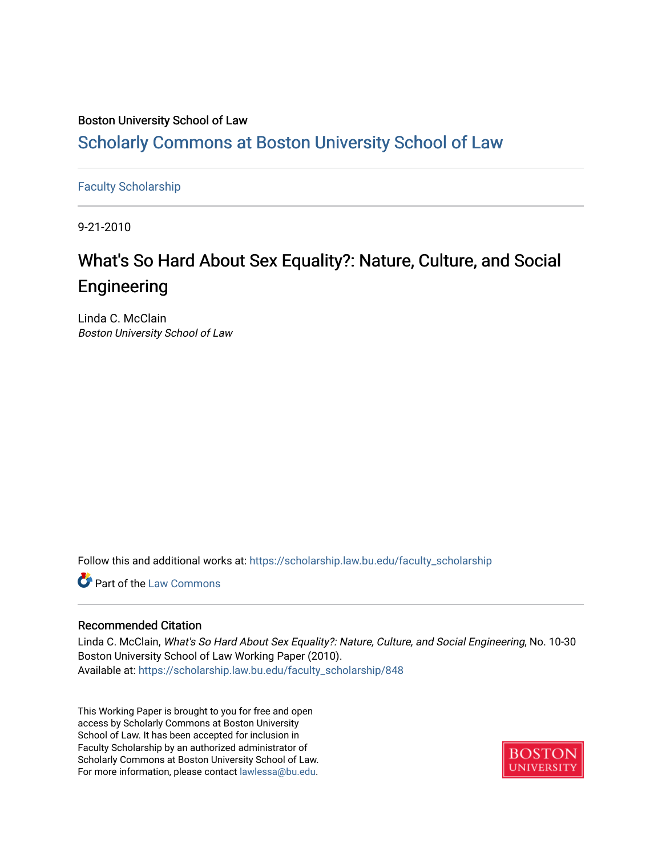# Boston University School of Law [Scholarly Commons at Boston University School of Law](https://scholarship.law.bu.edu/)

## [Faculty Scholarship](https://scholarship.law.bu.edu/faculty_scholarship)

9-21-2010

# What's So Hard About Sex Equality?: Nature, Culture, and Social Engineering

Linda C. McClain Boston University School of Law

Follow this and additional works at: [https://scholarship.law.bu.edu/faculty\\_scholarship](https://scholarship.law.bu.edu/faculty_scholarship?utm_source=scholarship.law.bu.edu%2Ffaculty_scholarship%2F848&utm_medium=PDF&utm_campaign=PDFCoverPages)

**C** Part of the [Law Commons](http://network.bepress.com/hgg/discipline/578?utm_source=scholarship.law.bu.edu%2Ffaculty_scholarship%2F848&utm_medium=PDF&utm_campaign=PDFCoverPages)

### Recommended Citation

Linda C. McClain, What's So Hard About Sex Equality?: Nature, Culture, and Social Engineering, No. 10-30 Boston University School of Law Working Paper (2010). Available at: [https://scholarship.law.bu.edu/faculty\\_scholarship/848](https://scholarship.law.bu.edu/faculty_scholarship/848?utm_source=scholarship.law.bu.edu%2Ffaculty_scholarship%2F848&utm_medium=PDF&utm_campaign=PDFCoverPages) 

This Working Paper is brought to you for free and open access by Scholarly Commons at Boston University School of Law. It has been accepted for inclusion in Faculty Scholarship by an authorized administrator of Scholarly Commons at Boston University School of Law. For more information, please contact [lawlessa@bu.edu](mailto:lawlessa@bu.edu).

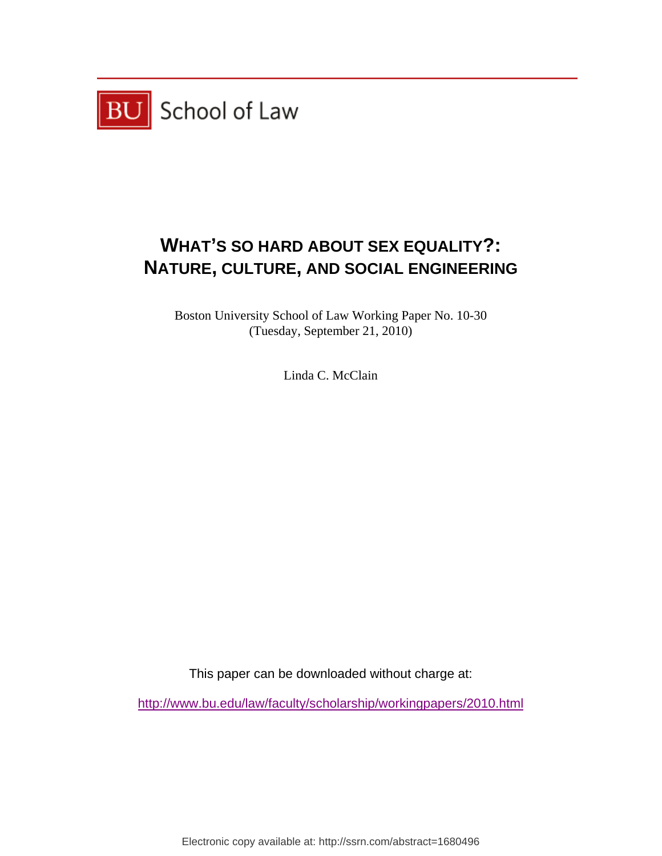

# **WHAT'S SO HARD ABOUT SEX EQUALITY?: NATURE, CULTURE, AND SOCIAL ENGINEERING**

Boston University School of Law Working Paper No. 10-30 (Tuesday, September 21, 2010)

Linda C. McClain

This paper can be downloaded without charge at:

http://www.bu.edu/law/faculty/scholarship/workingpapers/2010.html

Electronic copy available at: http://ssrn.com/abstract=1680496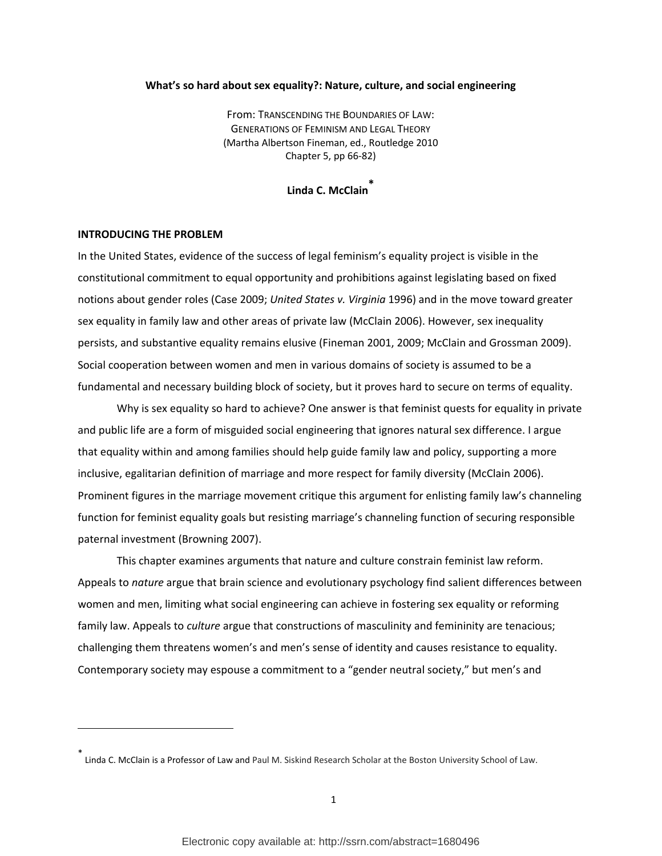#### **What's so hard about sex equality?: Nature, culture, and social engineering**

From: TRANSCENDING THE BOUNDARIES OF LAW: GENERATIONS OF FEMINISM AND LEGAL THEORY (Martha Albertson Fineman, ed., Routledge 2010 Chapter 5, pp 66‐82)

### **Linda C. McClain**

#### **INTRODUCING THE PROBLEM**

In the United States, evidence of the success of legal feminism's equality project is visible in the constitutional commitment to equal opportunity and prohibitions against legislating based on fixed notions about gender roles (Case 2009; *United States v. Virginia* 1996) and in the move toward greater sex equality in family law and other areas of private law (McClain 2006). However, sex inequality persists, and substantive equality remains elusive (Fineman 2001, 2009; McClain and Grossman 2009). Social cooperation between women and men in various domains of society is assumed to be a fundamental and necessary building block of society, but it proves hard to secure on terms of equality.

Why is sex equality so hard to achieve? One answer is that feminist quests for equality in private and public life are a form of misguided social engineering that ignores natural sex difference. I argue that equality within and among families should help guide family law and policy, supporting a more inclusive, egalitarian definition of marriage and more respect for family diversity (McClain 2006). Prominent figures in the marriage movement critique this argument for enlisting family law's channeling function for feminist equality goals but resisting marriage's channeling function of securing responsible paternal investment (Browning 2007).

This chapter examines arguments that nature and culture constrain feminist law reform. Appeals to *nature* argue that brain science and evolutionary psychology find salient differences between women and men, limiting what social engineering can achieve in fostering sex equality or reforming family law. Appeals to *culture* argue that constructions of masculinity and femininity are tenacious; challenging them threatens women's and men's sense of identity and causes resistance to equality. Contemporary society may espouse a commitment to a "gender neutral society," but men's and

Linda C. McClain is a Professor of Law and Paul M. Siskind Research Scholar at the Boston University School of Law.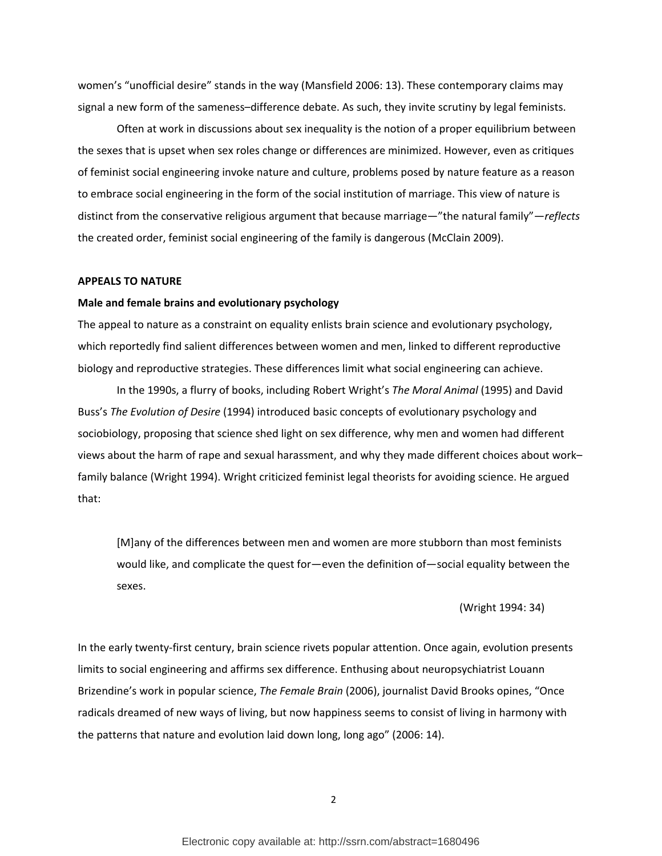women's "unofficial desire" stands in the way (Mansfield 2006: 13). These contemporary claims may signal a new form of the sameness–difference debate. As such, they invite scrutiny by legal feminists.

Often at work in discussions about sex inequality is the notion of a proper equilibrium between the sexes that is upset when sex roles change or differences are minimized. However, even as critiques of feminist social engineering invoke nature and culture, problems posed by nature feature as a reason to embrace social engineering in the form of the social institution of marriage. This view of nature is distinct from the conservative religious argument that because marriage—"the natural family"—*reflects* the created order, feminist social engineering of the family is dangerous (McClain 2009).

#### **APPEALS TO NATURE**

#### **Male and female brains and evolutionary psychology**

The appeal to nature as a constraint on equality enlists brain science and evolutionary psychology, which reportedly find salient differences between women and men, linked to different reproductive biology and reproductive strategies. These differences limit what social engineering can achieve.

In the 1990s, a flurry of books, including Robert Wright's *The Moral Animal* (1995) and David Buss's *The Evolution of Desire* (1994) introduced basic concepts of evolutionary psychology and sociobiology, proposing that science shed light on sex difference, why men and women had different views about the harm of rape and sexual harassment, and why they made different choices about work– family balance (Wright 1994). Wright criticized feminist legal theorists for avoiding science. He argued that:

[M]any of the differences between men and women are more stubborn than most feminists would like, and complicate the quest for—even the definition of—social equality between the sexes.

(Wright 1994: 34)

In the early twenty-first century, brain science rivets popular attention. Once again, evolution presents limits to social engineering and affirms sex difference. Enthusing about neuropsychiatrist Louann Brizendine's work in popular science, *The Female Brain* (2006), journalist David Brooks opines, "Once radicals dreamed of new ways of living, but now happiness seems to consist of living in harmony with the patterns that nature and evolution laid down long, long ago" (2006: 14).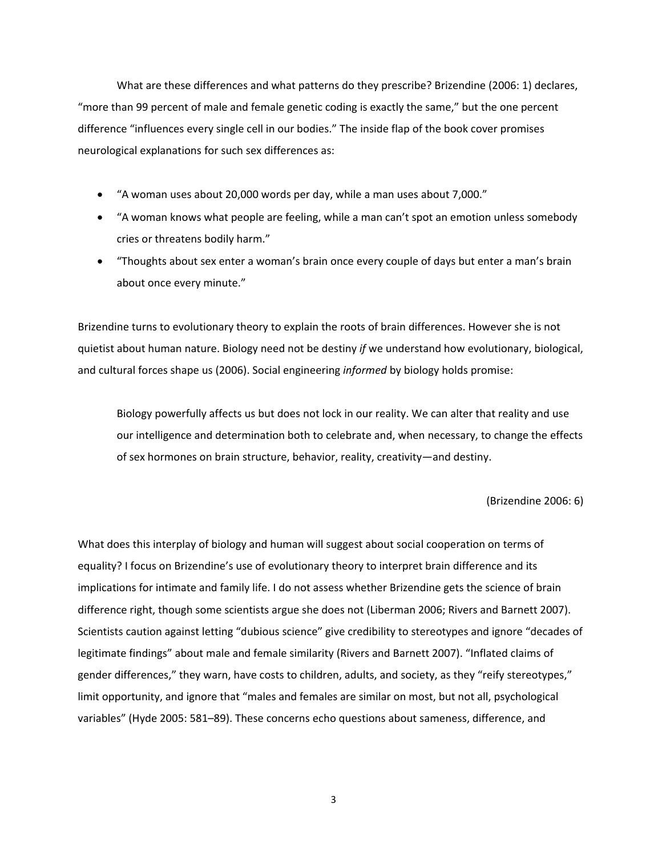What are these differences and what patterns do they prescribe? Brizendine (2006: 1) declares, "more than 99 percent of male and female genetic coding is exactly the same," but the one percent difference "influences every single cell in our bodies." The inside flap of the book cover promises neurological explanations for such sex differences as:

- "A woman uses about 20,000 words per day, while a man uses about 7,000."
- "A woman knows what people are feeling, while a man can't spot an emotion unless somebody cries or threatens bodily harm."
- "Thoughts about sex enter a woman's brain once every couple of days but enter a man's brain about once every minute."

Brizendine turns to evolutionary theory to explain the roots of brain differences. However she is not quietist about human nature. Biology need not be destiny *if* we understand how evolutionary, biological, and cultural forces shape us (2006). Social engineering *informed* by biology holds promise:

Biology powerfully affects us but does not lock in our reality. We can alter that reality and use our intelligence and determination both to celebrate and, when necessary, to change the effects of sex hormones on brain structure, behavior, reality, creativity—and destiny.

(Brizendine 2006: 6)

What does this interplay of biology and human will suggest about social cooperation on terms of equality? I focus on Brizendine's use of evolutionary theory to interpret brain difference and its implications for intimate and family life. I do not assess whether Brizendine gets the science of brain difference right, though some scientists argue she does not (Liberman 2006; Rivers and Barnett 2007). Scientists caution against letting "dubious science" give credibility to stereotypes and ignore "decades of legitimate findings" about male and female similarity (Rivers and Barnett 2007). "Inflated claims of gender differences," they warn, have costs to children, adults, and society, as they "reify stereotypes," limit opportunity, and ignore that "males and females are similar on most, but not all, psychological variables" (Hyde 2005: 581–89). These concerns echo questions about sameness, difference, and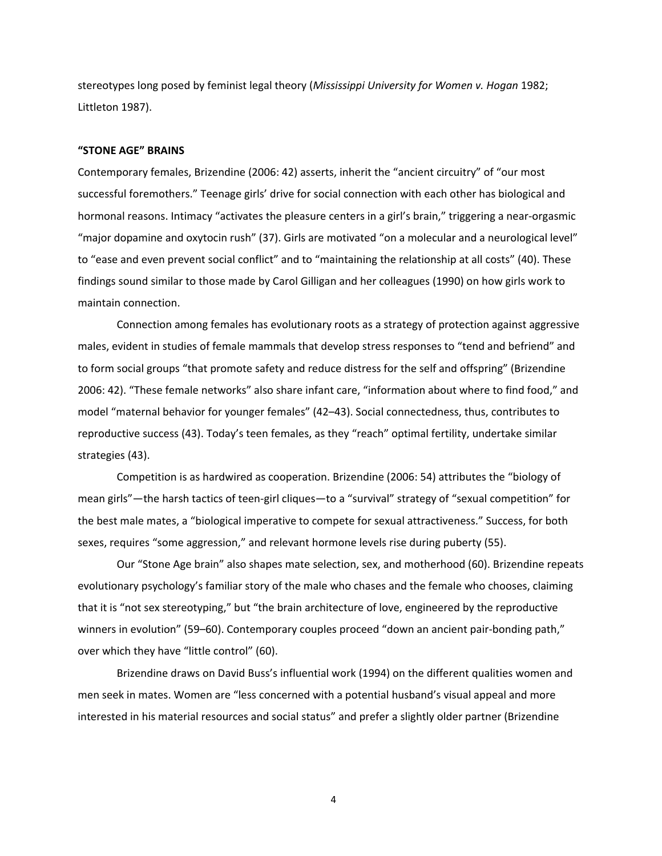stereotypes long posed by feminist legal theory (*Mississippi University for Women v. Hogan* 1982; Littleton 1987).

#### **"STONE AGE" BRAINS**

Contemporary females, Brizendine (2006: 42) asserts, inherit the "ancient circuitry" of "our most successful foremothers." Teenage girls' drive for social connection with each other has biological and hormonal reasons. Intimacy "activates the pleasure centers in a girl's brain," triggering a near-orgasmic "major dopamine and oxytocin rush" (37). Girls are motivated "on a molecular and a neurological level" to "ease and even prevent social conflict" and to "maintaining the relationship at all costs" (40). These findings sound similar to those made by Carol Gilligan and her colleagues (1990) on how girls work to maintain connection.

Connection among females has evolutionary roots as a strategy of protection against aggressive males, evident in studies of female mammals that develop stress responses to "tend and befriend" and to form social groups "that promote safety and reduce distress for the self and offspring" (Brizendine 2006: 42). "These female networks" also share infant care, "information about where to find food," and model "maternal behavior for younger females" (42–43). Social connectedness, thus, contributes to reproductive success (43). Today's teen females, as they "reach" optimal fertility, undertake similar strategies (43).

Competition is as hardwired as cooperation. Brizendine (2006: 54) attributes the "biology of mean girls"—the harsh tactics of teen-girl cliques—to a "survival" strategy of "sexual competition" for the best male mates, a "biological imperative to compete for sexual attractiveness." Success, for both sexes, requires "some aggression," and relevant hormone levels rise during puberty (55).

Our "Stone Age brain" also shapes mate selection, sex, and motherhood (60). Brizendine repeats evolutionary psychology's familiar story of the male who chases and the female who chooses, claiming that it is "not sex stereotyping," but "the brain architecture of love, engineered by the reproductive winners in evolution" (59–60). Contemporary couples proceed "down an ancient pair-bonding path," over which they have "little control" (60).

Brizendine draws on David Buss's influential work (1994) on the different qualities women and men seek in mates. Women are "less concerned with a potential husband's visual appeal and more interested in his material resources and social status" and prefer a slightly older partner (Brizendine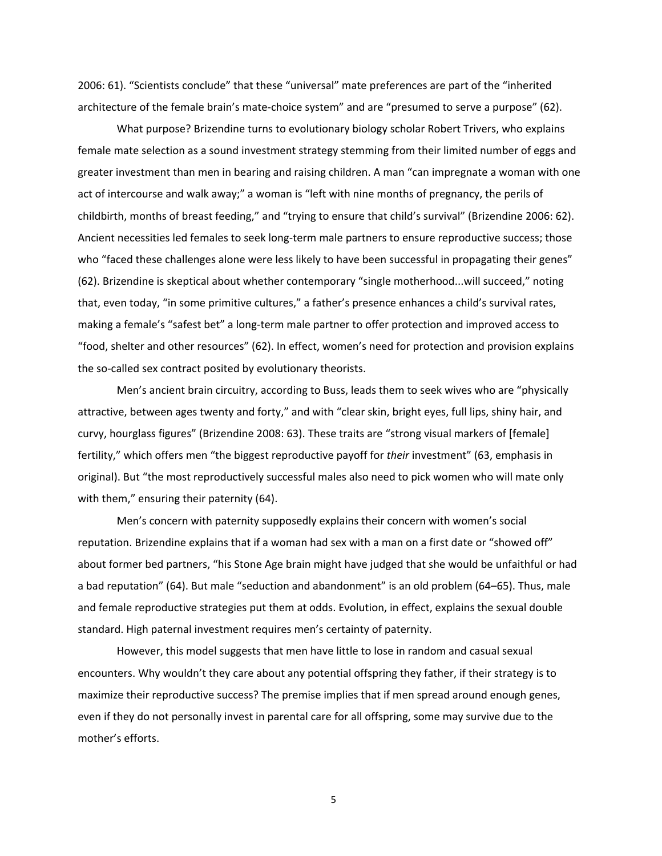2006: 61). "Scientists conclude" that these "universal" mate preferences are part of the "inherited architecture of the female brain's mate‐choice system" and are "presumed to serve a purpose" (62).

What purpose? Brizendine turns to evolutionary biology scholar Robert Trivers, who explains female mate selection as a sound investment strategy stemming from their limited number of eggs and greater investment than men in bearing and raising children. A man "can impregnate a woman with one act of intercourse and walk away;" a woman is "left with nine months of pregnancy, the perils of childbirth, months of breast feeding," and "trying to ensure that child's survival" (Brizendine 2006: 62). Ancient necessities led females to seek long‐term male partners to ensure reproductive success; those who "faced these challenges alone were less likely to have been successful in propagating their genes" (62). Brizendine is skeptical about whether contemporary "single motherhood...will succeed," noting that, even today, "in some primitive cultures," a father's presence enhances a child's survival rates, making a female's "safest bet" a long-term male partner to offer protection and improved access to "food, shelter and other resources" (62). In effect, women's need for protection and provision explains the so-called sex contract posited by evolutionary theorists.

Men's ancient brain circuitry, according to Buss, leads them to seek wives who are "physically attractive, between ages twenty and forty," and with "clear skin, bright eyes, full lips, shiny hair, and curvy, hourglass figures" (Brizendine 2008: 63). These traits are "strong visual markers of [female] fertility," which offers men "the biggest reproductive payoff for *their* investment" (63, emphasis in original). But "the most reproductively successful males also need to pick women who will mate only with them," ensuring their paternity (64).

Men's concern with paternity supposedly explains their concern with women's social reputation. Brizendine explains that if a woman had sex with a man on a first date or "showed off" about former bed partners, "his Stone Age brain might have judged that she would be unfaithful or had a bad reputation" (64). But male "seduction and abandonment" is an old problem (64–65). Thus, male and female reproductive strategies put them at odds. Evolution, in effect, explains the sexual double standard. High paternal investment requires men's certainty of paternity.

However, this model suggests that men have little to lose in random and casual sexual encounters. Why wouldn't they care about any potential offspring they father, if their strategy is to maximize their reproductive success? The premise implies that if men spread around enough genes, even if they do not personally invest in parental care for all offspring, some may survive due to the mother's efforts.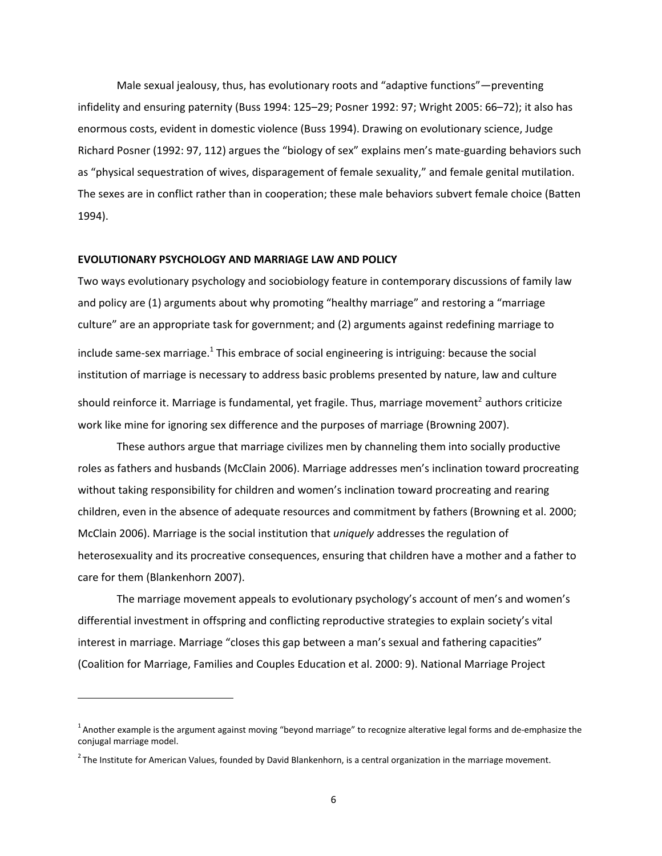Male sexual jealousy, thus, has evolutionary roots and "adaptive functions"—preventing infidelity and ensuring paternity (Buss 1994: 125–29; Posner 1992: 97; Wright 2005: 66–72); it also has enormous costs, evident in domestic violence (Buss 1994). Drawing on evolutionary science, Judge Richard Posner (1992: 97, 112) argues the "biology of sex" explains men's mate‐guarding behaviors such as "physical sequestration of wives, disparagement of female sexuality," and female genital mutilation. The sexes are in conflict rather than in cooperation; these male behaviors subvert female choice (Batten 1994).

#### **EVOLUTIONARY PSYCHOLOGY AND MARRIAGE LAW AND POLICY**

Two ways evolutionary psychology and sociobiology feature in contemporary discussions of family law and policy are (1) arguments about why promoting "healthy marriage" and restoring a "marriage culture" are an appropriate task for government; and (2) arguments against redefining marriage to include same-sex marriage.<sup>1</sup> This embrace of social engineering is intriguing: because the social institution of marriage is necessary to address basic problems presented by nature, law and culture should reinforce it. Marriage is fundamental, yet fragile. Thus, marriage movement<sup>2</sup> authors criticize work like mine for ignoring sex difference and the purposes of marriage (Browning 2007).

These authors argue that marriage civilizes men by channeling them into socially productive roles as fathers and husbands (McClain 2006). Marriage addresses men's inclination toward procreating without taking responsibility for children and women's inclination toward procreating and rearing children, even in the absence of adequate resources and commitment by fathers (Browning et al. 2000; McClain 2006). Marriage is the social institution that *uniquely* addresses the regulation of heterosexuality and its procreative consequences, ensuring that children have a mother and a father to care for them (Blankenhorn 2007).

The marriage movement appeals to evolutionary psychology's account of men's and women's differential investment in offspring and conflicting reproductive strategies to explain society's vital interest in marriage. Marriage "closes this gap between a man's sexual and fathering capacities" (Coalition for Marriage, Families and Couples Education et al. 2000: 9). National Marriage Project

 $^1$ Another example is the argument against moving "beyond marriage" to recognize alterative legal forms and de-emphasize the conjugal marriage model.

 $^2$ The Institute for American Values, founded by David Blankenhorn, is a central organization in the marriage movement.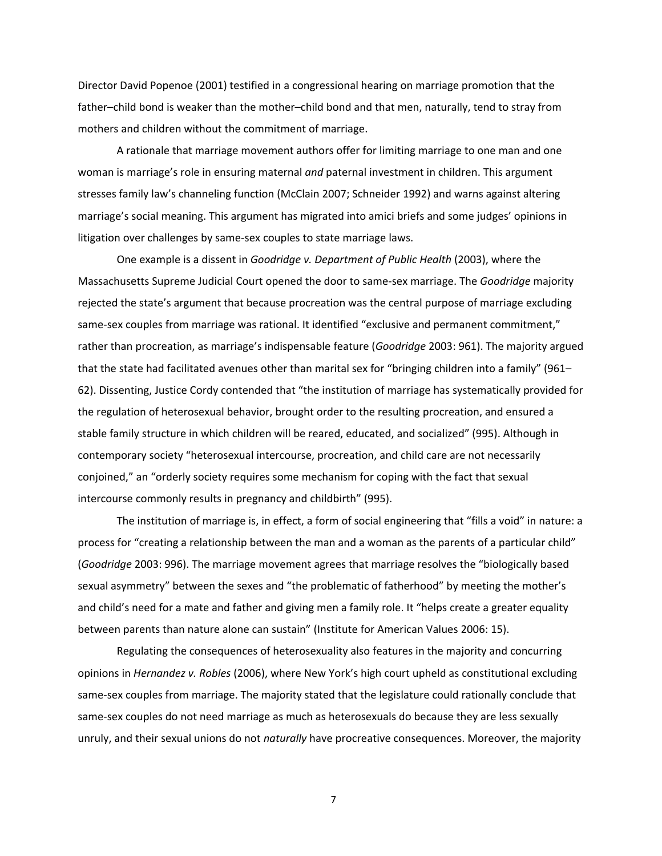Director David Popenoe (2001) testified in a congressional hearing on marriage promotion that the father–child bond is weaker than the mother–child bond and that men, naturally, tend to stray from mothers and children without the commitment of marriage.

A rationale that marriage movement authors offer for limiting marriage to one man and one woman is marriage's role in ensuring maternal *and* paternal investment in children. This argument stresses family law's channeling function (McClain 2007; Schneider 1992) and warns against altering marriage's social meaning. This argument has migrated into amici briefs and some judges' opinions in litigation over challenges by same‐sex couples to state marriage laws.

One example is a dissent in *Goodridge v. Department of Public Health* (2003), where the Massachusetts Supreme Judicial Court opened the door to same‐sex marriage. The *Goodridge* majority rejected the state's argument that because procreation was the central purpose of marriage excluding same-sex couples from marriage was rational. It identified "exclusive and permanent commitment," rather than procreation, as marriage's indispensable feature (*Goodridge* 2003: 961). The majority argued that the state had facilitated avenues other than marital sex for "bringing children into a family" (961– 62). Dissenting, Justice Cordy contended that "the institution of marriage has systematically provided for the regulation of heterosexual behavior, brought order to the resulting procreation, and ensured a stable family structure in which children will be reared, educated, and socialized" (995). Although in contemporary society "heterosexual intercourse, procreation, and child care are not necessarily conjoined," an "orderly society requires some mechanism for coping with the fact that sexual intercourse commonly results in pregnancy and childbirth" (995).

The institution of marriage is, in effect, a form of social engineering that "fills a void" in nature: a process for "creating a relationship between the man and a woman as the parents of a particular child" (*Goodridge* 2003: 996). The marriage movement agrees that marriage resolves the "biologically based sexual asymmetry" between the sexes and "the problematic of fatherhood" by meeting the mother's and child's need for a mate and father and giving men a family role. It "helps create a greater equality between parents than nature alone can sustain" (Institute for American Values 2006: 15).

Regulating the consequences of heterosexuality also features in the majority and concurring opinions in *Hernandez v. Robles* (2006), where New York's high court upheld as constitutional excluding same-sex couples from marriage. The majority stated that the legislature could rationally conclude that same-sex couples do not need marriage as much as heterosexuals do because they are less sexually unruly, and their sexual unions do not *naturally* have procreative consequences. Moreover, the majority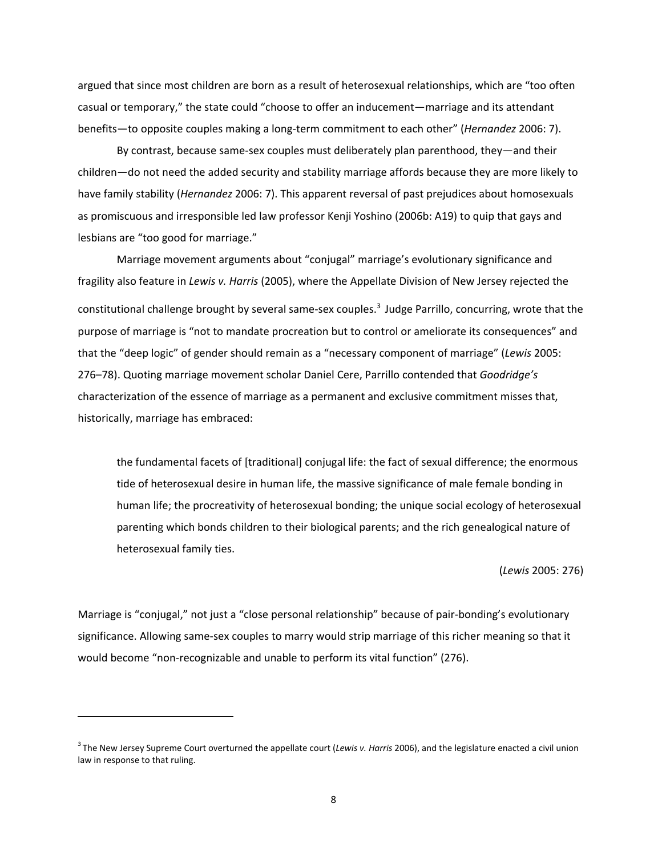argued that since most children are born as a result of heterosexual relationships, which are "too often casual or temporary," the state could "choose to offer an inducement—marriage and its attendant benefits—to opposite couples making a long‐term commitment to each other" (*Hernandez* 2006: 7).

By contrast, because same‐sex couples must deliberately plan parenthood, they—and their children—do not need the added security and stability marriage affords because they are more likely to have family stability (*Hernandez* 2006: 7). This apparent reversal of past prejudices about homosexuals as promiscuous and irresponsible led law professor Kenji Yoshino (2006b: A19) to quip that gays and lesbians are "too good for marriage."

Marriage movement arguments about "conjugal" marriage's evolutionary significance and fragility also feature in *Lewis v. Harris* (2005), where the Appellate Division of New Jersey rejected the constitutional challenge brought by several same-sex couples.<sup>3</sup> Judge Parrillo, concurring, wrote that the purpose of marriage is "not to mandate procreation but to control or ameliorate its consequences" and that the "deep logic" of gender should remain as a "necessary component of marriage" (*Lewis* 2005: 276–78). Quoting marriage movement scholar Daniel Cere, Parrillo contended that *Goodridge's* characterization of the essence of marriage as a permanent and exclusive commitment misses that, historically, marriage has embraced:

the fundamental facets of [traditional] conjugal life: the fact of sexual difference; the enormous tide of heterosexual desire in human life, the massive significance of male female bonding in human life; the procreativity of heterosexual bonding; the unique social ecology of heterosexual parenting which bonds children to their biological parents; and the rich genealogical nature of heterosexual family ties.

(*Lewis* 2005: 276)

Marriage is "conjugal," not just a "close personal relationship" because of pair‐bonding's evolutionary significance. Allowing same‐sex couples to marry would strip marriage of this richer meaning so that it would become "non-recognizable and unable to perform its vital function" (276).

<sup>3</sup> The New Jersey Supreme Court overturned the appellate court (*Lewis v. Harris* 2006), and the legislature enacted a civil union law in response to that ruling.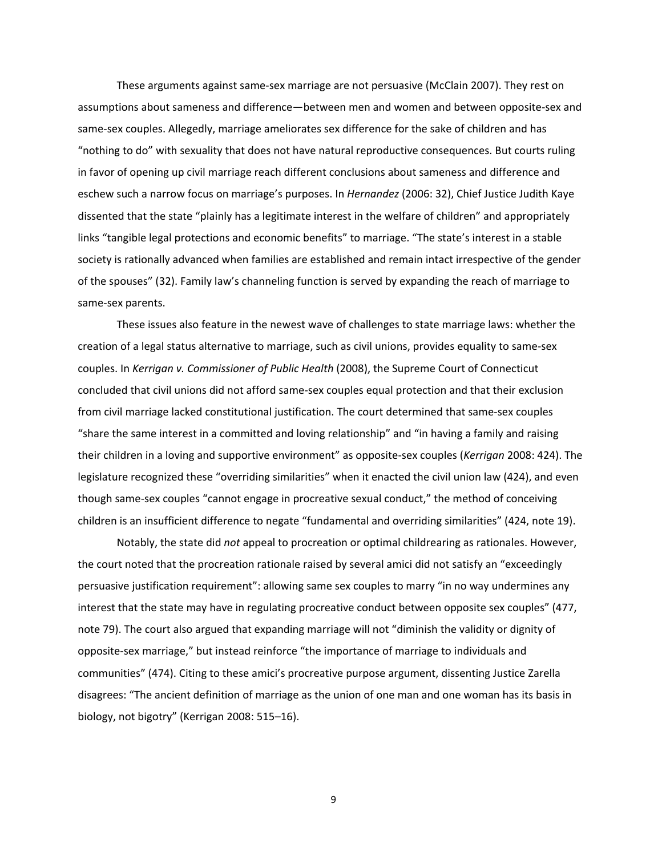These arguments against same‐sex marriage are not persuasive (McClain 2007). They rest on assumptions about sameness and difference—between men and women and between opposite‐sex and same‐sex couples. Allegedly, marriage ameliorates sex difference for the sake of children and has "nothing to do" with sexuality that does not have natural reproductive consequences. But courts ruling in favor of opening up civil marriage reach different conclusions about sameness and difference and eschew such a narrow focus on marriage's purposes. In *Hernandez* (2006: 32), Chief Justice Judith Kaye dissented that the state "plainly has a legitimate interest in the welfare of children" and appropriately links "tangible legal protections and economic benefits" to marriage. "The state's interest in a stable society is rationally advanced when families are established and remain intact irrespective of the gender of the spouses" (32). Family law's channeling function is served by expanding the reach of marriage to same‐sex parents.

These issues also feature in the newest wave of challenges to state marriage laws: whether the creation of a legal status alternative to marriage, such as civil unions, provides equality to same‐sex couples. In *Kerrigan v. Commissioner of Public Health* (2008), the Supreme Court of Connecticut concluded that civil unions did not afford same‐sex couples equal protection and that their exclusion from civil marriage lacked constitutional justification. The court determined that same‐sex couples "share the same interest in a committed and loving relationship" and "in having a family and raising their children in a loving and supportive environment" as opposite‐sex couples (*Kerrigan* 2008: 424). The legislature recognized these "overriding similarities" when it enacted the civil union law (424), and even though same‐sex couples "cannot engage in procreative sexual conduct," the method of conceiving children is an insufficient difference to negate "fundamental and overriding similarities" (424, note 19).

Notably, the state did *not* appeal to procreation or optimal childrearing as rationales. However, the court noted that the procreation rationale raised by several amici did not satisfy an "exceedingly persuasive justification requirement": allowing same sex couples to marry "in no way undermines any interest that the state may have in regulating procreative conduct between opposite sex couples" (477, note 79). The court also argued that expanding marriage will not "diminish the validity or dignity of opposite‐sex marriage," but instead reinforce "the importance of marriage to individuals and communities" (474). Citing to these amici's procreative purpose argument, dissenting Justice Zarella disagrees: "The ancient definition of marriage as the union of one man and one woman has its basis in biology, not bigotry" (Kerrigan 2008: 515–16).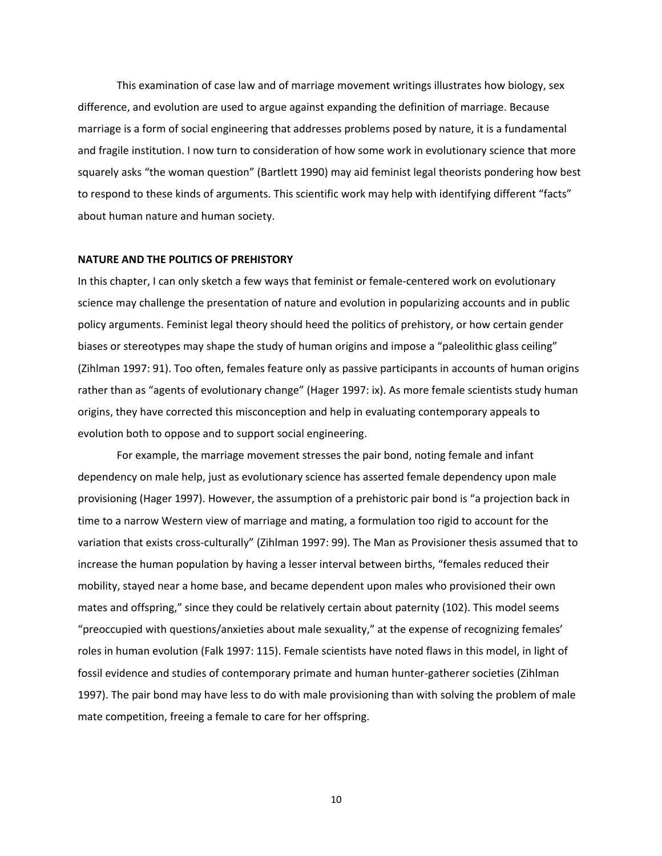This examination of case law and of marriage movement writings illustrates how biology, sex difference, and evolution are used to argue against expanding the definition of marriage. Because marriage is a form of social engineering that addresses problems posed by nature, it is a fundamental and fragile institution. I now turn to consideration of how some work in evolutionary science that more squarely asks "the woman question" (Bartlett 1990) may aid feminist legal theorists pondering how best to respond to these kinds of arguments. This scientific work may help with identifying different "facts" about human nature and human society.

#### **NATURE AND THE POLITICS OF PREHISTORY**

In this chapter, I can only sketch a few ways that feminist or female-centered work on evolutionary science may challenge the presentation of nature and evolution in popularizing accounts and in public policy arguments. Feminist legal theory should heed the politics of prehistory, or how certain gender biases or stereotypes may shape the study of human origins and impose a "paleolithic glass ceiling" (Zihlman 1997: 91). Too often, females feature only as passive participants in accounts of human origins rather than as "agents of evolutionary change" (Hager 1997: ix). As more female scientists study human origins, they have corrected this misconception and help in evaluating contemporary appeals to evolution both to oppose and to support social engineering.

For example, the marriage movement stresses the pair bond, noting female and infant dependency on male help, just as evolutionary science has asserted female dependency upon male provisioning (Hager 1997). However, the assumption of a prehistoric pair bond is "a projection back in time to a narrow Western view of marriage and mating, a formulation too rigid to account for the variation that exists cross-culturally" (Zihlman 1997: 99). The Man as Provisioner thesis assumed that to increase the human population by having a lesser interval between births, "females reduced their mobility, stayed near a home base, and became dependent upon males who provisioned their own mates and offspring," since they could be relatively certain about paternity (102). This model seems "preoccupied with questions/anxieties about male sexuality," at the expense of recognizing females' roles in human evolution (Falk 1997: 115). Female scientists have noted flaws in this model, in light of fossil evidence and studies of contemporary primate and human hunter‐gatherer societies (Zihlman 1997). The pair bond may have less to do with male provisioning than with solving the problem of male mate competition, freeing a female to care for her offspring.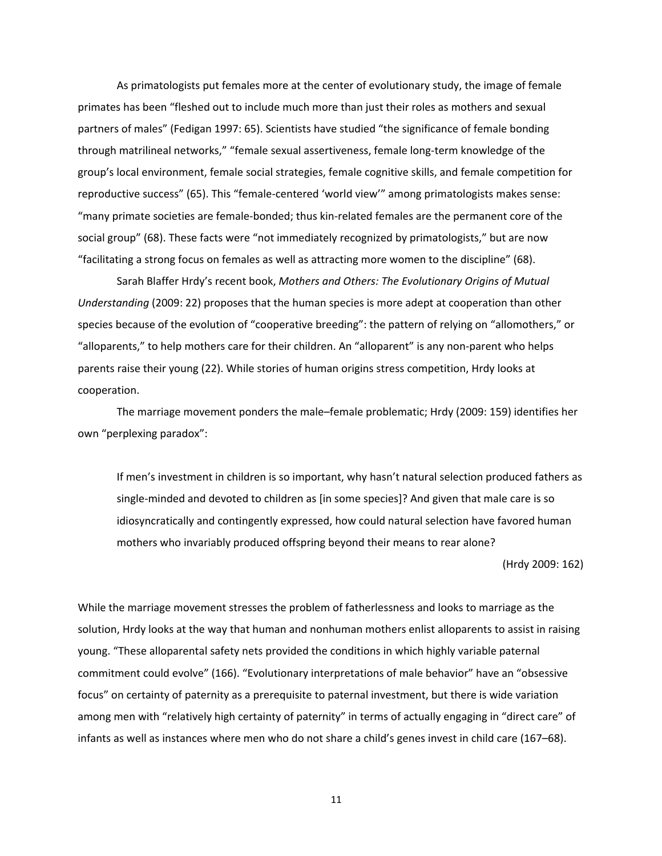As primatologists put females more at the center of evolutionary study, the image of female primates has been "fleshed out to include much more than just their roles as mothers and sexual partners of males" (Fedigan 1997: 65). Scientists have studied "the significance of female bonding through matrilineal networks," "female sexual assertiveness, female long‐term knowledge of the group's local environment, female social strategies, female cognitive skills, and female competition for reproductive success" (65). This "female‐centered 'world view'" among primatologists makes sense: "many primate societies are female‐bonded; thus kin‐related females are the permanent core of the social group" (68). These facts were "not immediately recognized by primatologists," but are now "facilitating a strong focus on females as well as attracting more women to the discipline" (68).

Sarah Blaffer Hrdy's recent book, *Mothers and Others: The Evolutionary Origins of Mutual Understanding* (2009: 22) proposes that the human species is more adept at cooperation than other species because of the evolution of "cooperative breeding": the pattern of relying on "allomothers," or "alloparents," to help mothers care for their children. An "alloparent" is any non‐parent who helps parents raise their young (22). While stories of human origins stress competition, Hrdy looks at cooperation.

The marriage movement ponders the male–female problematic; Hrdy (2009: 159) identifies her own "perplexing paradox":

If men's investment in children is so important, why hasn't natural selection produced fathers as single-minded and devoted to children as [in some species]? And given that male care is so idiosyncratically and contingently expressed, how could natural selection have favored human mothers who invariably produced offspring beyond their means to rear alone?

(Hrdy 2009: 162)

While the marriage movement stresses the problem of fatherlessness and looks to marriage as the solution, Hrdy looks at the way that human and nonhuman mothers enlist alloparents to assist in raising young. "These alloparental safety nets provided the conditions in which highly variable paternal commitment could evolve" (166). "Evolutionary interpretations of male behavior" have an "obsessive focus" on certainty of paternity as a prerequisite to paternal investment, but there is wide variation among men with "relatively high certainty of paternity" in terms of actually engaging in "direct care" of infants as well as instances where men who do not share a child's genes invest in child care (167–68).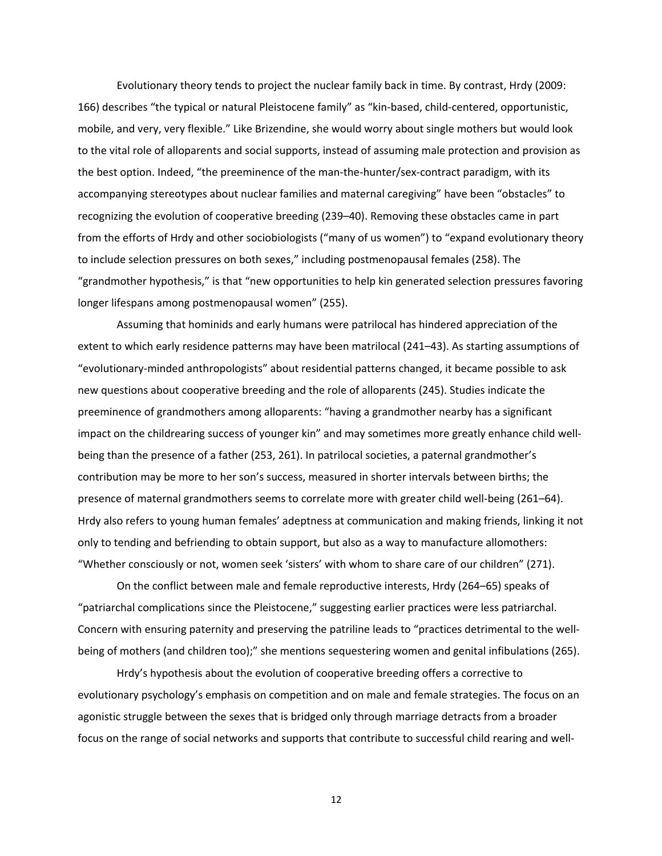Evolutionary theory tends to project the nuclear family back in time. By contrast, Hrdy (2009: 166) describes "the typical or natural Pleistocene family" as "kin‐based, child‐centered, opportunistic, mobile, and very, very flexible." Like Brizendine, she would worry about single mothers but would look to the vital role of alloparents and social supports, instead of assuming male protection and provision as the best option. Indeed, "the preeminence of the man-the-hunter/sex-contract paradigm, with its accompanying stereotypes about nuclear families and maternal caregiving" have been "obstacles" to recognizing the evolution of cooperative breeding (239–40). Removing these obstacles came in part from the efforts of Hrdy and other sociobiologists ("many of us women") to "expand evolutionary theory to include selection pressures on both sexes," including postmenopausal females (258). The "grandmother hypothesis," is that "new opportunities to help kin generated selection pressures favoring longer lifespans among postmenopausal women" (255).

Assuming that hominids and early humans were patrilocal has hindered appreciation of the extent to which early residence patterns may have been matrilocal (241–43). As starting assumptions of "evolutionary‐minded anthropologists" about residential patterns changed, it became possible to ask new questions about cooperative breeding and the role of alloparents (245). Studies indicate the preeminence of grandmothers among alloparents: "having a grandmother nearby has a significant impact on the childrearing success of younger kin" and may sometimes more greatly enhance child wellbeing than the presence of a father (253, 261). In patrilocal societies, a paternal grandmother's contribution may be more to her son's success, measured in shorter intervals between births; the presence of maternal grandmothers seems to correlate more with greater child well‐being (261–64). Hrdy also refers to young human females' adeptness at communication and making friends, linking it not only to tending and befriending to obtain support, but also as a way to manufacture allomothers: "Whether consciously or not, women seek 'sisters' with whom to share care of our children" (271).

On the conflict between male and female reproductive interests, Hrdy (264–65) speaks of "patriarchal complications since the Pleistocene," suggesting earlier practices were less patriarchal. Concern with ensuring paternity and preserving the patriline leads to "practices detrimental to the well‐ being of mothers (and children too);" she mentions sequestering women and genital infibulations (265).

Hrdy's hypothesis about the evolution of cooperative breeding offers a corrective to evolutionary psychology's emphasis on competition and on male and female strategies. The focus on an agonistic struggle between the sexes that is bridged only through marriage detracts from a broader focus on the range of social networks and supports that contribute to successful child rearing and well‐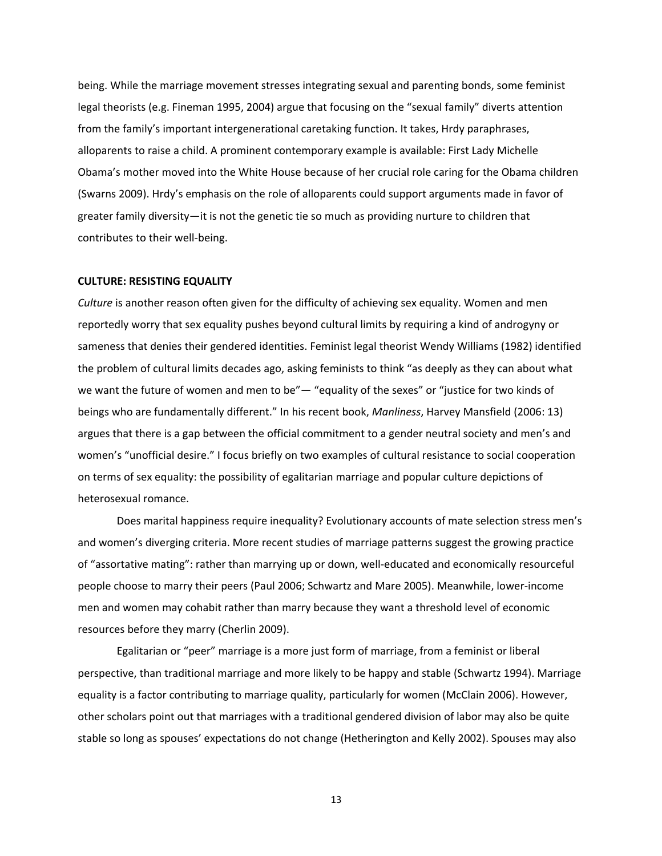being. While the marriage movement stresses integrating sexual and parenting bonds, some feminist legal theorists (e.g. Fineman 1995, 2004) argue that focusing on the "sexual family" diverts attention from the family's important intergenerational caretaking function. It takes, Hrdy paraphrases, alloparents to raise a child. A prominent contemporary example is available: First Lady Michelle Obama's mother moved into the White House because of her crucial role caring for the Obama children (Swarns 2009). Hrdy's emphasis on the role of alloparents could support arguments made in favor of greater family diversity—it is not the genetic tie so much as providing nurture to children that contributes to their well‐being.

#### **CULTURE: RESISTING EQUALITY**

*Culture* is another reason often given for the difficulty of achieving sex equality. Women and men reportedly worry that sex equality pushes beyond cultural limits by requiring a kind of androgyny or sameness that denies their gendered identities. Feminist legal theorist Wendy Williams (1982) identified the problem of cultural limits decades ago, asking feminists to think "as deeply as they can about what we want the future of women and men to be"— "equality of the sexes" or "justice for two kinds of beings who are fundamentally different." In his recent book, *Manliness*, Harvey Mansfield (2006: 13) argues that there is a gap between the official commitment to a gender neutral society and men's and women's "unofficial desire." I focus briefly on two examples of cultural resistance to social cooperation on terms of sex equality: the possibility of egalitarian marriage and popular culture depictions of heterosexual romance.

Does marital happiness require inequality? Evolutionary accounts of mate selection stress men's and women's diverging criteria. More recent studies of marriage patterns suggest the growing practice of "assortative mating": rather than marrying up or down, well‐educated and economically resourceful people choose to marry their peers (Paul 2006; Schwartz and Mare 2005). Meanwhile, lower‐income men and women may cohabit rather than marry because they want a threshold level of economic resources before they marry (Cherlin 2009).

Egalitarian or "peer" marriage is a more just form of marriage, from a feminist or liberal perspective, than traditional marriage and more likely to be happy and stable (Schwartz 1994). Marriage equality is a factor contributing to marriage quality, particularly for women (McClain 2006). However, other scholars point out that marriages with a traditional gendered division of labor may also be quite stable so long as spouses' expectations do not change (Hetherington and Kelly 2002). Spouses may also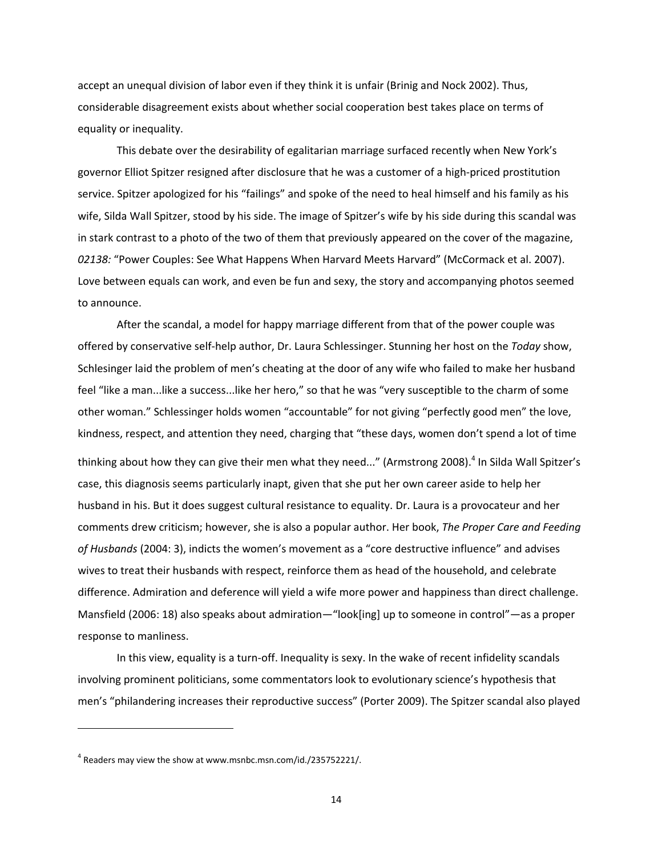accept an unequal division of labor even if they think it is unfair (Brinig and Nock 2002). Thus, considerable disagreement exists about whether social cooperation best takes place on terms of equality or inequality.

This debate over the desirability of egalitarian marriage surfaced recently when New York's governor Elliot Spitzer resigned after disclosure that he was a customer of a high‐priced prostitution service. Spitzer apologized for his "failings" and spoke of the need to heal himself and his family as his wife, Silda Wall Spitzer, stood by his side. The image of Spitzer's wife by his side during this scandal was in stark contrast to a photo of the two of them that previously appeared on the cover of the magazine, *02138:* "Power Couples: See What Happens When Harvard Meets Harvard" (McCormack et al. 2007). Love between equals can work, and even be fun and sexy, the story and accompanying photos seemed to announce.

After the scandal, a model for happy marriage different from that of the power couple was offered by conservative self‐help author, Dr. Laura Schlessinger. Stunning her host on the *Today* show, Schlesinger laid the problem of men's cheating at the door of any wife who failed to make her husband feel "like a man...like a success...like her hero," so that he was "very susceptible to the charm of some other woman." Schlessinger holds women "accountable" for not giving "perfectly good men" the love, kindness, respect, and attention they need, charging that "these days, women don't spend a lot of time thinking about how they can give their men what they need..." (Armstrong 2008).<sup>4</sup> In Silda Wall Spitzer's case, this diagnosis seems particularly inapt, given that she put her own career aside to help her husband in his. But it does suggest cultural resistance to equality. Dr. Laura is a provocateur and her comments drew criticism; however, she is also a popular author. Her book, *The Proper Care and Feeding of Husbands* (2004: 3), indicts the women's movement as a "core destructive influence" and advises wives to treat their husbands with respect, reinforce them as head of the household, and celebrate difference. Admiration and deference will yield a wife more power and happiness than direct challenge. Mansfield (2006: 18) also speaks about admiration—"look[ing] up to someone in control"—as a proper response to manliness.

In this view, equality is a turn‐off. Inequality is sexy. In the wake of recent infidelity scandals involving prominent politicians, some commentators look to evolutionary science's hypothesis that men's "philandering increases their reproductive success" (Porter 2009). The Spitzer scandal also played

 $4$  Readers may view the show at www.msnbc.msn.com/id./235752221/.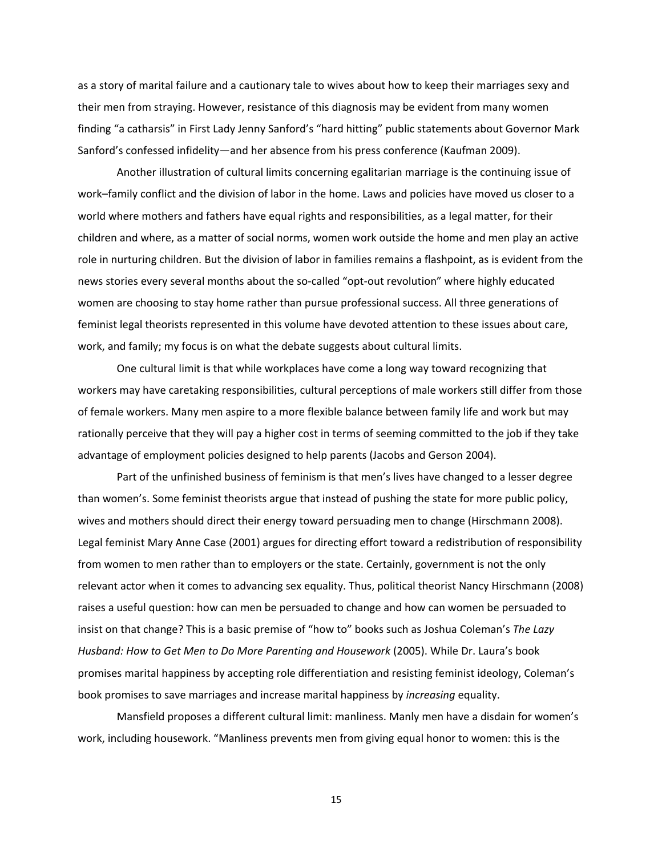as a story of marital failure and a cautionary tale to wives about how to keep their marriages sexy and their men from straying. However, resistance of this diagnosis may be evident from many women finding "a catharsis" in First Lady Jenny Sanford's "hard hitting" public statements about Governor Mark Sanford's confessed infidelity—and her absence from his press conference (Kaufman 2009).

Another illustration of cultural limits concerning egalitarian marriage is the continuing issue of work–family conflict and the division of labor in the home. Laws and policies have moved us closer to a world where mothers and fathers have equal rights and responsibilities, as a legal matter, for their children and where, as a matter of social norms, women work outside the home and men play an active role in nurturing children. But the division of labor in families remains a flashpoint, as is evident from the news stories every several months about the so‐called "opt‐out revolution" where highly educated women are choosing to stay home rather than pursue professional success. All three generations of feminist legal theorists represented in this volume have devoted attention to these issues about care, work, and family; my focus is on what the debate suggests about cultural limits.

One cultural limit is that while workplaces have come a long way toward recognizing that workers may have caretaking responsibilities, cultural perceptions of male workers still differ from those of female workers. Many men aspire to a more flexible balance between family life and work but may rationally perceive that they will pay a higher cost in terms of seeming committed to the job if they take advantage of employment policies designed to help parents (Jacobs and Gerson 2004).

Part of the unfinished business of feminism is that men's lives have changed to a lesser degree than women's. Some feminist theorists argue that instead of pushing the state for more public policy, wives and mothers should direct their energy toward persuading men to change (Hirschmann 2008). Legal feminist Mary Anne Case (2001) argues for directing effort toward a redistribution of responsibility from women to men rather than to employers or the state. Certainly, government is not the only relevant actor when it comes to advancing sex equality. Thus, political theorist Nancy Hirschmann (2008) raises a useful question: how can men be persuaded to change and how can women be persuaded to insist on that change? This is a basic premise of "how to" books such as Joshua Coleman's *The Lazy Husband: How to Get Men to Do More Parenting and Housework* (2005). While Dr. Laura's book promises marital happiness by accepting role differentiation and resisting feminist ideology, Coleman's book promises to save marriages and increase marital happiness by *increasing* equality.

Mansfield proposes a different cultural limit: manliness. Manly men have a disdain for women's work, including housework. "Manliness prevents men from giving equal honor to women: this is the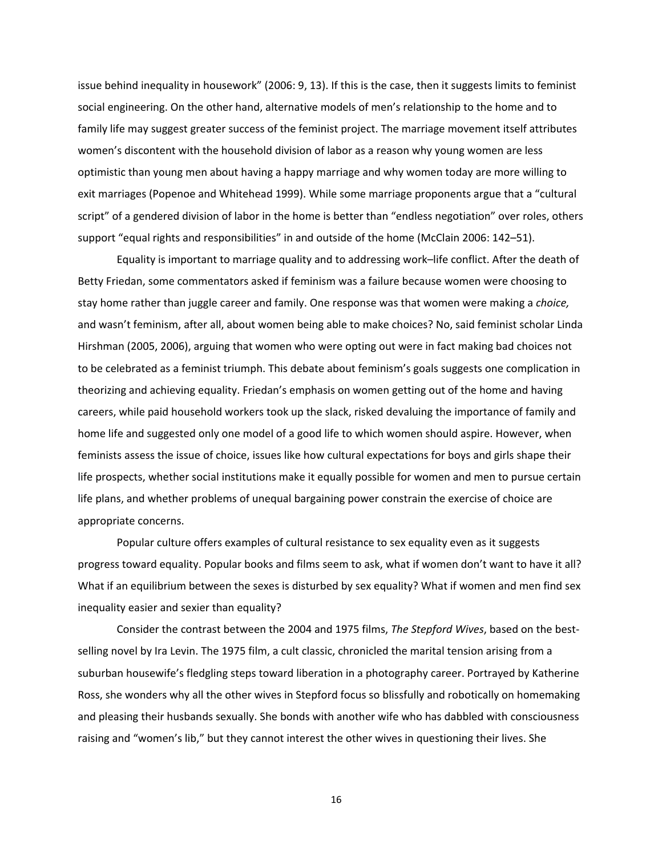issue behind inequality in housework" (2006: 9, 13). If this is the case, then it suggests limits to feminist social engineering. On the other hand, alternative models of men's relationship to the home and to family life may suggest greater success of the feminist project. The marriage movement itself attributes women's discontent with the household division of labor as a reason why young women are less optimistic than young men about having a happy marriage and why women today are more willing to exit marriages (Popenoe and Whitehead 1999). While some marriage proponents argue that a "cultural script" of a gendered division of labor in the home is better than "endless negotiation" over roles, others support "equal rights and responsibilities" in and outside of the home (McClain 2006: 142–51).

Equality is important to marriage quality and to addressing work–life conflict. After the death of Betty Friedan, some commentators asked if feminism was a failure because women were choosing to stay home rather than juggle career and family. One response was that women were making a *choice,* and wasn't feminism, after all, about women being able to make choices? No, said feminist scholar Linda Hirshman (2005, 2006), arguing that women who were opting out were in fact making bad choices not to be celebrated as a feminist triumph. This debate about feminism's goals suggests one complication in theorizing and achieving equality. Friedan's emphasis on women getting out of the home and having careers, while paid household workers took up the slack, risked devaluing the importance of family and home life and suggested only one model of a good life to which women should aspire. However, when feminists assess the issue of choice, issues like how cultural expectations for boys and girls shape their life prospects, whether social institutions make it equally possible for women and men to pursue certain life plans, and whether problems of unequal bargaining power constrain the exercise of choice are appropriate concerns.

Popular culture offers examples of cultural resistance to sex equality even as it suggests progress toward equality. Popular books and films seem to ask, what if women don't want to have it all? What if an equilibrium between the sexes is disturbed by sex equality? What if women and men find sex inequality easier and sexier than equality?

Consider the contrast between the 2004 and 1975 films, *The Stepford Wives*, based on the best‐ selling novel by Ira Levin. The 1975 film, a cult classic, chronicled the marital tension arising from a suburban housewife's fledgling steps toward liberation in a photography career. Portrayed by Katherine Ross, she wonders why all the other wives in Stepford focus so blissfully and robotically on homemaking and pleasing their husbands sexually. She bonds with another wife who has dabbled with consciousness raising and "women's lib," but they cannot interest the other wives in questioning their lives. She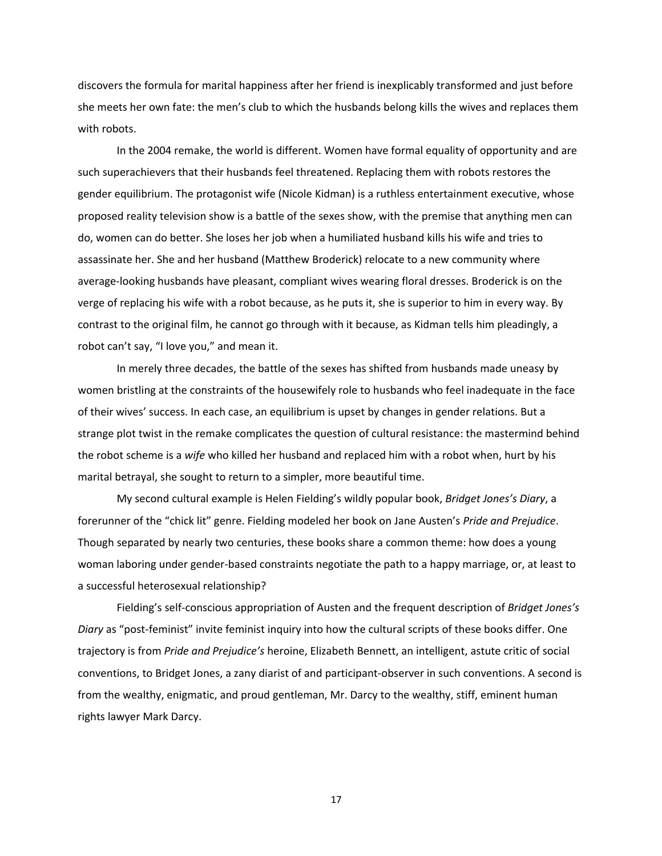discovers the formula for marital happiness after her friend is inexplicably transformed and just before she meets her own fate: the men's club to which the husbands belong kills the wives and replaces them with robots.

In the 2004 remake, the world is different. Women have formal equality of opportunity and are such superachievers that their husbands feel threatened. Replacing them with robots restores the gender equilibrium. The protagonist wife (Nicole Kidman) is a ruthless entertainment executive, whose proposed reality television show is a battle of the sexes show, with the premise that anything men can do, women can do better. She loses her job when a humiliated husband kills his wife and tries to assassinate her. She and her husband (Matthew Broderick) relocate to a new community where average‐looking husbands have pleasant, compliant wives wearing floral dresses. Broderick is on the verge of replacing his wife with a robot because, as he puts it, she is superior to him in every way. By contrast to the original film, he cannot go through with it because, as Kidman tells him pleadingly, a robot can't say, "I love you," and mean it.

In merely three decades, the battle of the sexes has shifted from husbands made uneasy by women bristling at the constraints of the housewifely role to husbands who feel inadequate in the face of their wives' success. In each case, an equilibrium is upset by changes in gender relations. But a strange plot twist in the remake complicates the question of cultural resistance: the mastermind behind the robot scheme is a *wife* who killed her husband and replaced him with a robot when, hurt by his marital betrayal, she sought to return to a simpler, more beautiful time.

My second cultural example is Helen Fielding's wildly popular book, *Bridget Jones's Diary*, a forerunner of the "chick lit" genre. Fielding modeled her book on Jane Austen's *Pride and Prejudice*. Though separated by nearly two centuries, these books share a common theme: how does a young woman laboring under gender‐based constraints negotiate the path to a happy marriage, or, at least to a successful heterosexual relationship?

Fielding's self‐conscious appropriation of Austen and the frequent description of *Bridget Jones's Diary* as "post‐feminist" invite feminist inquiry into how the cultural scripts of these books differ. One trajectory is from *Pride and Prejudice's* heroine, Elizabeth Bennett, an intelligent, astute critic of social conventions, to Bridget Jones, a zany diarist of and participant‐observer in such conventions. A second is from the wealthy, enigmatic, and proud gentleman, Mr. Darcy to the wealthy, stiff, eminent human rights lawyer Mark Darcy.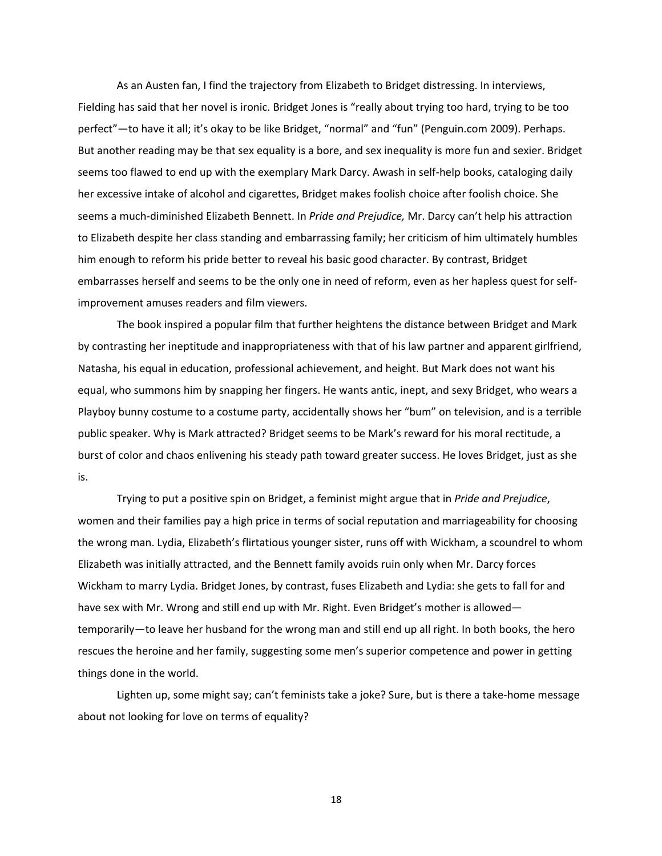As an Austen fan, I find the trajectory from Elizabeth to Bridget distressing. In interviews, Fielding has said that her novel is ironic. Bridget Jones is "really about trying too hard, trying to be too perfect"—to have it all; it's okay to be like Bridget, "normal" and "fun" (Penguin.com 2009). Perhaps. But another reading may be that sex equality is a bore, and sex inequality is more fun and sexier. Bridget seems too flawed to end up with the exemplary Mark Darcy. Awash in self-help books, cataloging daily her excessive intake of alcohol and cigarettes, Bridget makes foolish choice after foolish choice. She seems a much‐diminished Elizabeth Bennett. In *Pride and Prejudice,* Mr. Darcy can't help his attraction to Elizabeth despite her class standing and embarrassing family; her criticism of him ultimately humbles him enough to reform his pride better to reveal his basic good character. By contrast, Bridget embarrasses herself and seems to be the only one in need of reform, even as her hapless quest for self‐ improvement amuses readers and film viewers.

The book inspired a popular film that further heightens the distance between Bridget and Mark by contrasting her ineptitude and inappropriateness with that of his law partner and apparent girlfriend, Natasha, his equal in education, professional achievement, and height. But Mark does not want his equal, who summons him by snapping her fingers. He wants antic, inept, and sexy Bridget, who wears a Playboy bunny costume to a costume party, accidentally shows her "bum" on television, and is a terrible public speaker. Why is Mark attracted? Bridget seems to be Mark's reward for his moral rectitude, a burst of color and chaos enlivening his steady path toward greater success. He loves Bridget, just as she is.

Trying to put a positive spin on Bridget, a feminist might argue that in *Pride and Prejudice*, women and their families pay a high price in terms of social reputation and marriageability for choosing the wrong man. Lydia, Elizabeth's flirtatious younger sister, runs off with Wickham, a scoundrel to whom Elizabeth was initially attracted, and the Bennett family avoids ruin only when Mr. Darcy forces Wickham to marry Lydia. Bridget Jones, by contrast, fuses Elizabeth and Lydia: she gets to fall for and have sex with Mr. Wrong and still end up with Mr. Right. Even Bridget's mother is allowed temporarily—to leave her husband for the wrong man and still end up all right. In both books, the hero rescues the heroine and her family, suggesting some men's superior competence and power in getting things done in the world.

Lighten up, some might say; can't feminists take a joke? Sure, but is there a take-home message about not looking for love on terms of equality?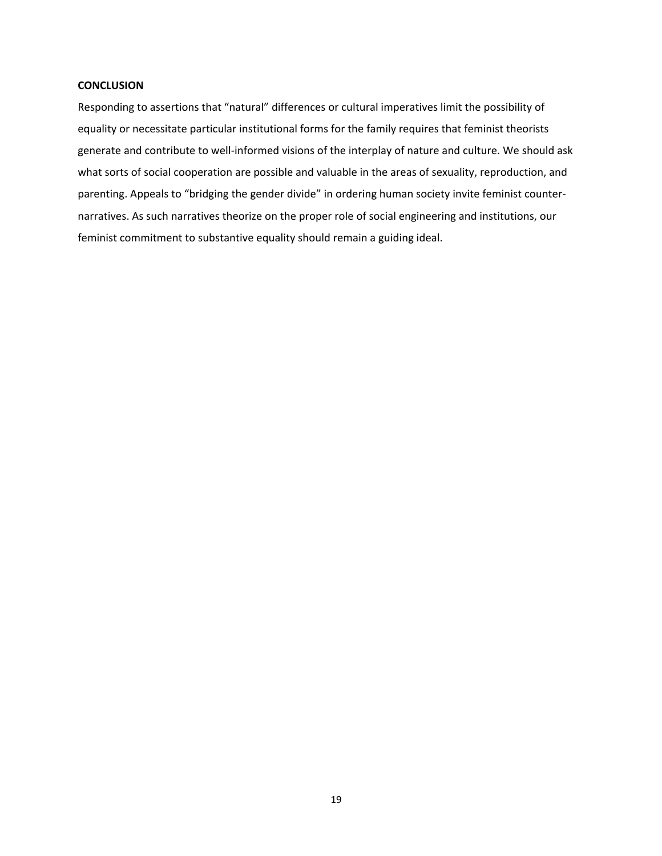#### **CONCLUSION**

Responding to assertions that "natural" differences or cultural imperatives limit the possibility of equality or necessitate particular institutional forms for the family requires that feminist theorists generate and contribute to well-informed visions of the interplay of nature and culture. We should ask what sorts of social cooperation are possible and valuable in the areas of sexuality, reproduction, and parenting. Appeals to "bridging the gender divide" in ordering human society invite feminist counter‐ narratives. As such narratives theorize on the proper role of social engineering and institutions, our feminist commitment to substantive equality should remain a guiding ideal.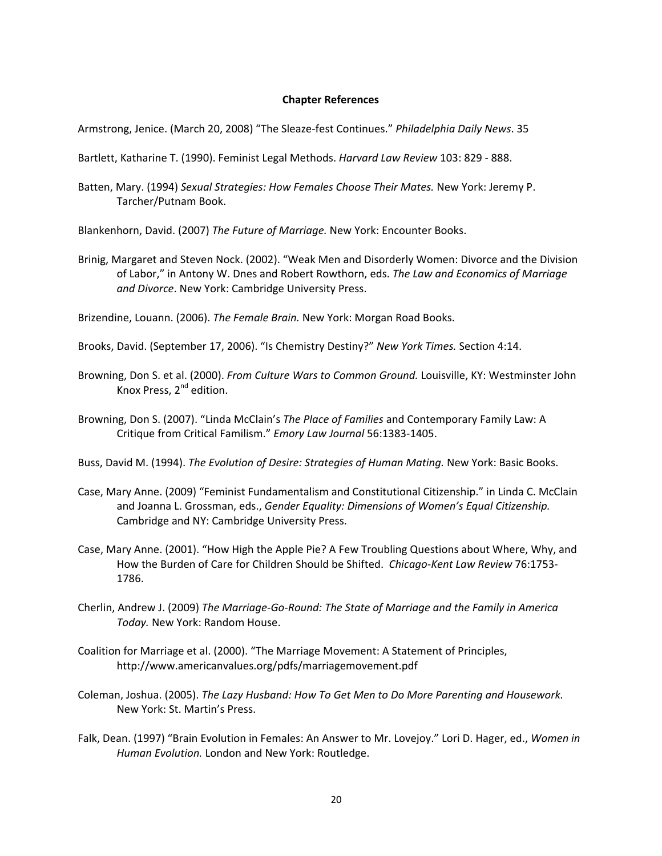#### **Chapter References**

Armstrong, Jenice. (March 20, 2008) "The Sleaze‐fest Continues." *Philadelphia Daily News*. 35

Bartlett, Katharine T. (1990). Feminist Legal Methods. *Harvard Law Review* 103: 829 ‐ 888.

Batten, Mary. (1994) *Sexual Strategies: How Females Choose Their Mates.* New York: Jeremy P. Tarcher/Putnam Book.

Blankenhorn, David. (2007) *The Future of Marriage.* New York: Encounter Books.

Brinig, Margaret and Steven Nock. (2002). "Weak Men and Disorderly Women: Divorce and the Division of Labor," in Antony W. Dnes and Robert Rowthorn, eds. *The Law and Economics of Marriage and Divorce*. New York: Cambridge University Press.

Brizendine, Louann. (2006). *The Female Brain.* New York: Morgan Road Books.

Brooks, David. (September 17, 2006). "Is Chemistry Destiny?" *New York Times.* Section 4:14.

- Browning, Don S. et al. (2000). *From Culture Wars to Common Ground.* Louisville, KY: Westminster John Knox Press, 2<sup>nd</sup> edition.
- Browning, Don S. (2007). "Linda McClain's *The Place of Families* and Contemporary Family Law: A Critique from Critical Familism." *Emory Law Journal* 56:1383‐1405.

Buss, David M. (1994). *The Evolution of Desire: Strategies of Human Mating.* New York: Basic Books.

- Case, Mary Anne. (2009) "Feminist Fundamentalism and Constitutional Citizenship." in Linda C. McClain and Joanna L. Grossman, eds., *Gender Equality: Dimensions of Women's Equal Citizenship.* Cambridge and NY: Cambridge University Press.
- Case, Mary Anne. (2001). "How High the Apple Pie? A Few Troubling Questions about Where, Why, and How the Burden of Care for Children Should be Shifted. *Chicago‐Kent Law Review* 76:1753‐ 1786.
- Cherlin, Andrew J. (2009) *The Marriage‐Go‐Round: The State of Marriage and the Family in America Today.* New York: Random House.
- Coalition for Marriage et al. (2000). "The Marriage Movement: A Statement of Principles, http://www.americanvalues.org/pdfs/marriagemovement.pdf
- Coleman, Joshua. (2005). *The Lazy Husband: How To Get Men to Do More Parenting and Housework.* New York: St. Martin's Press.
- Falk, Dean. (1997) "Brain Evolution in Females: An Answer to Mr. Lovejoy." Lori D. Hager, ed., *Women in Human Evolution.* London and New York: Routledge.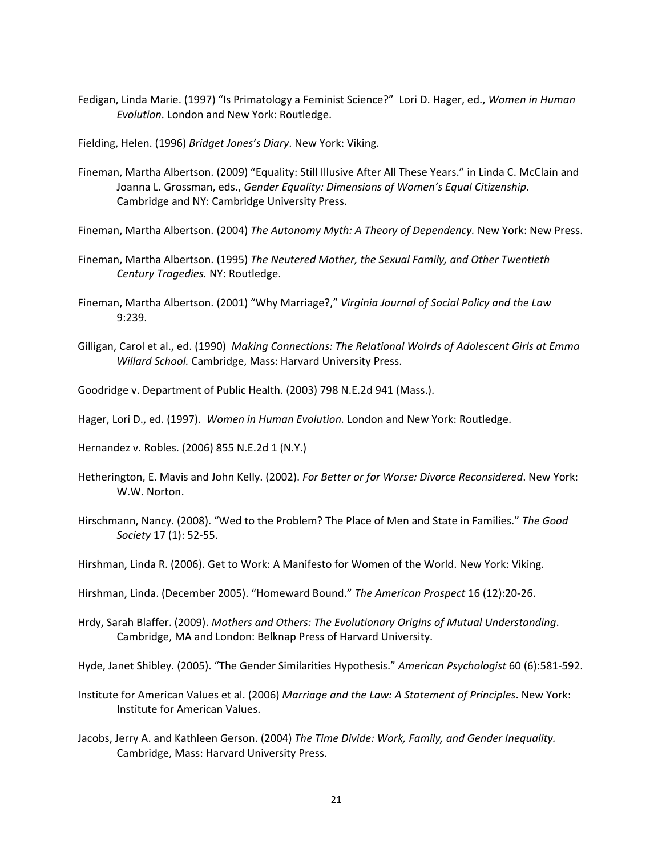Fedigan, Linda Marie. (1997) "Is Primatology a Feminist Science?" Lori D. Hager, ed., *Women in Human Evolution.* London and New York: Routledge.

Fielding, Helen. (1996) *Bridget Jones's Diary*. New York: Viking.

Fineman, Martha Albertson. (2009) "Equality: Still Illusive After All These Years." in Linda C. McClain and Joanna L. Grossman, eds., *Gender Equality: Dimensions of Women's Equal Citizenship*. Cambridge and NY: Cambridge University Press.

Fineman, Martha Albertson. (2004) *The Autonomy Myth: A Theory of Dependency.* New York: New Press.

- Fineman, Martha Albertson. (1995) *The Neutered Mother, the Sexual Family, and Other Twentieth Century Tragedies.* NY: Routledge.
- Fineman, Martha Albertson. (2001) "Why Marriage?," *Virginia Journal of Social Policy and the Law* 9:239.
- Gilligan, Carol et al., ed. (1990) *Making Connections: The Relational Wolrds of Adolescent Girls at Emma Willard School.* Cambridge, Mass: Harvard University Press.
- Goodridge v. Department of Public Health. (2003) 798 N.E.2d 941 (Mass.).
- Hager, Lori D., ed. (1997). *Women in Human Evolution.* London and New York: Routledge.
- Hernandez v. Robles. (2006) 855 N.E.2d 1 (N.Y.)
- Hetherington, E. Mavis and John Kelly. (2002). *For Better or for Worse: Divorce Reconsidered*. New York: W.W. Norton.
- Hirschmann, Nancy. (2008). "Wed to the Problem? The Place of Men and State in Families." *The Good Society* 17 (1): 52‐55.

Hirshman, Linda R. (2006). Get to Work: A Manifesto for Women of the World. New York: Viking.

- Hirshman, Linda. (December 2005). "Homeward Bound." *The American Prospect* 16 (12):20‐26.
- Hrdy, Sarah Blaffer. (2009). *Mothers and Others: The Evolutionary Origins of Mutual Understanding*. Cambridge, MA and London: Belknap Press of Harvard University.

Hyde, Janet Shibley. (2005). "The Gender Similarities Hypothesis." *American Psychologist* 60 (6):581‐592.

- Institute for American Values et al. (2006) *Marriage and the Law: A Statement of Principles*. New York: Institute for American Values.
- Jacobs, Jerry A. and Kathleen Gerson. (2004) *The Time Divide: Work, Family, and Gender Inequality.* Cambridge, Mass: Harvard University Press.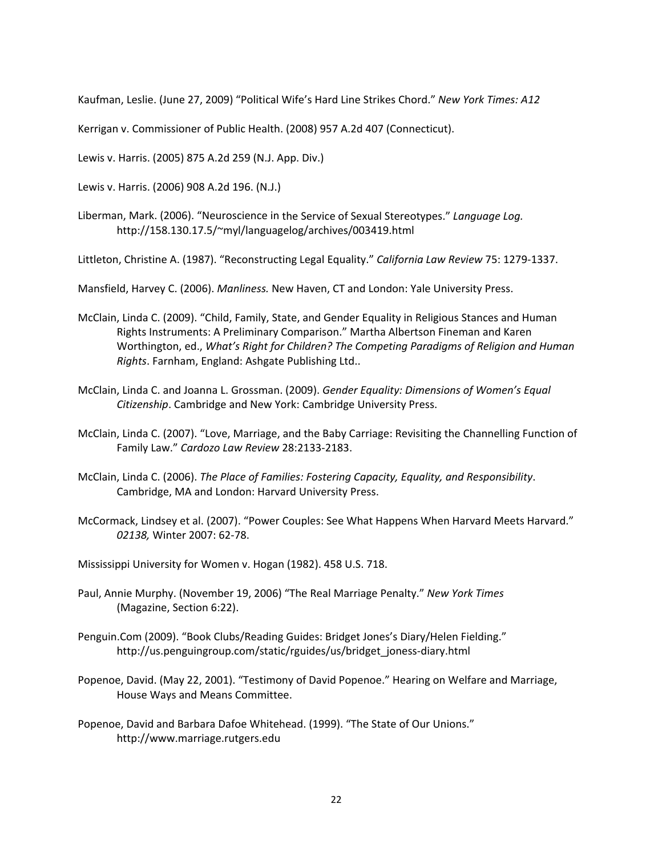Kaufman, Leslie. (June 27, 2009) "Political Wife's Hard Line Strikes Chord." *New York Times: A12*

Kerrigan v. Commissioner of Public Health. (2008) 957 A.2d 407 (Connecticut).

Lewis v. Harris. (2005) 875 A.2d 259 (N.J. App. Div.)

- Lewis v. Harris. (2006) 908 A.2d 196. (N.J.)
- Liberman, Mark. (2006). "Neuroscience in the Service of Sexual Stereotypes." *Language Log.* http://158.130.17.5/~myl/languagelog/archives/003419.html

Littleton, Christine A. (1987). "Reconstructing Legal Equality." *California Law Review* 75: 1279‐1337.

Mansfield, Harvey C. (2006). *Manliness.* New Haven, CT and London: Yale University Press.

- McClain, Linda C. (2009). "Child, Family, State, and Gender Equality in Religious Stances and Human Rights Instruments: A Preliminary Comparison." Martha Albertson Fineman and Karen Worthington, ed., *What's Right for Children? The Competing Paradigms of Religion and Human Rights*. Farnham, England: Ashgate Publishing Ltd..
- McClain, Linda C. and Joanna L. Grossman. (2009). *Gender Equality: Dimensions of Women's Equal Citizenship*. Cambridge and New York: Cambridge University Press.
- McClain, Linda C. (2007). "Love, Marriage, and the Baby Carriage: Revisiting the Channelling Function of Family Law." *Cardozo Law Review* 28:2133‐2183.
- McClain, Linda C. (2006). *The Place of Families: Fostering Capacity, Equality, and Responsibility*. Cambridge, MA and London: Harvard University Press.
- McCormack, Lindsey et al. (2007). "Power Couples: See What Happens When Harvard Meets Harvard." *02138,* Winter 2007: 62‐78.
- Mississippi University for Women v. Hogan (1982). 458 U.S. 718.
- Paul, Annie Murphy. (November 19, 2006) "The Real Marriage Penalty." *New York Times* (Magazine, Section 6:22).
- Penguin.Com (2009). "Book Clubs/Reading Guides: Bridget Jones's Diary/Helen Fielding." http://us.penguingroup.com/static/rguides/us/bridget\_joness‐diary.html
- Popenoe, David. (May 22, 2001). "Testimony of David Popenoe." Hearing on Welfare and Marriage, House Ways and Means Committee.

Popenoe, David and Barbara Dafoe Whitehead. (1999). "The State of Our Unions." http://www.marriage.rutgers.edu